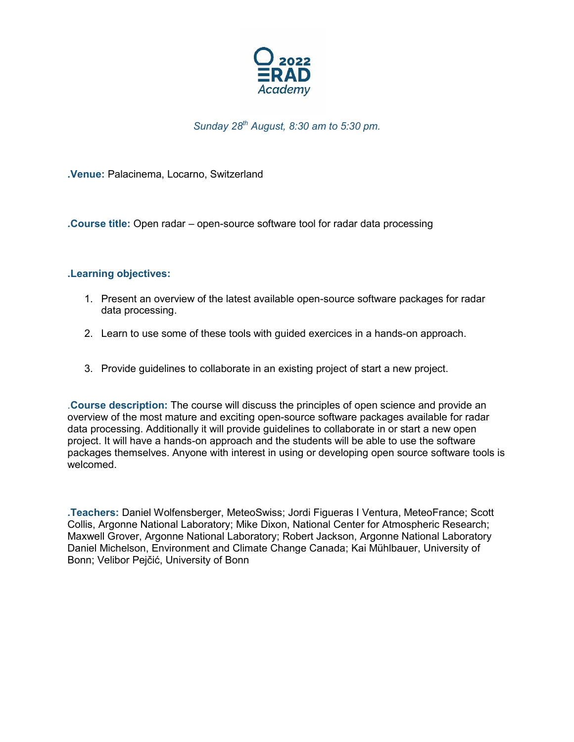

*Sunday 28th August, 8:30 am to 5:30 pm.*

**.Venue:** Palacinema, Locarno, Switzerland

**.Course title:** Open radar – open-source software tool for radar data processing

## **.Learning objectives:**

- 1. Present an overview of the latest available open-source software packages for radar data processing.
- 2. Learn to use some of these tools with guided exercices in a hands-on approach.
- 3. Provide guidelines to collaborate in an existing project of start a new project.

.**Course description:** The course will discuss the principles of open science and provide an overview of the most mature and exciting open-source software packages available for radar data processing. Additionally it will provide guidelines to collaborate in or start a new open project. It will have a hands-on approach and the students will be able to use the software packages themselves. Anyone with interest in using or developing open source software tools is welcomed.

**.Teachers:** Daniel Wolfensberger, MeteoSwiss; Jordi Figueras I Ventura, MeteoFrance; Scott Collis, Argonne National Laboratory; Mike Dixon, National Center for Atmospheric Research; Maxwell Grover, Argonne National Laboratory; Robert Jackson, Argonne National Laboratory Daniel Michelson, Environment and Climate Change Canada; Kai Mühlbauer, University of Bonn; Velibor Pejčić, University of Bonn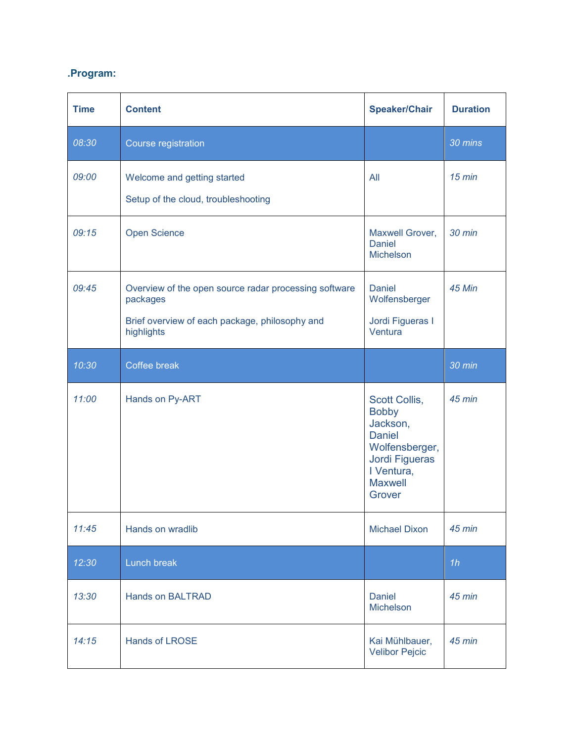## **.Program:**

| <b>Time</b> | <b>Content</b>                                                                                                                    | <b>Speaker/Chair</b>                                                                                                                     | <b>Duration</b> |
|-------------|-----------------------------------------------------------------------------------------------------------------------------------|------------------------------------------------------------------------------------------------------------------------------------------|-----------------|
| 08:30       | Course registration                                                                                                               |                                                                                                                                          | 30 mins         |
| 09:00       | Welcome and getting started<br>Setup of the cloud, troubleshooting                                                                | All                                                                                                                                      | $15$ min        |
| 09:15       | <b>Open Science</b>                                                                                                               | Maxwell Grover,<br><b>Daniel</b><br>Michelson                                                                                            | 30 min          |
| 09:45       | Overview of the open source radar processing software<br>packages<br>Brief overview of each package, philosophy and<br>highlights | <b>Daniel</b><br>Wolfensberger<br>Jordi Figueras I<br>Ventura                                                                            | 45 Min          |
| 10:30       | Coffee break                                                                                                                      |                                                                                                                                          | 30 min          |
| 11:00       | Hands on Py-ART                                                                                                                   | Scott Collis,<br><b>Bobby</b><br>Jackson,<br><b>Daniel</b><br>Wolfensberger,<br>Jordi Figueras<br>I Ventura,<br><b>Maxwell</b><br>Grover | 45 min          |
| 11:45       | Hands on wradlib                                                                                                                  | <b>Michael Dixon</b>                                                                                                                     | 45 min          |
| 12:30       | Lunch break                                                                                                                       |                                                                                                                                          | 1h              |
| 13:30       | <b>Hands on BALTRAD</b>                                                                                                           | <b>Daniel</b><br>Michelson                                                                                                               | 45 min          |
| 14:15       | <b>Hands of LROSE</b>                                                                                                             | Kai Mühlbauer,<br><b>Velibor Pejcic</b>                                                                                                  | 45 min          |